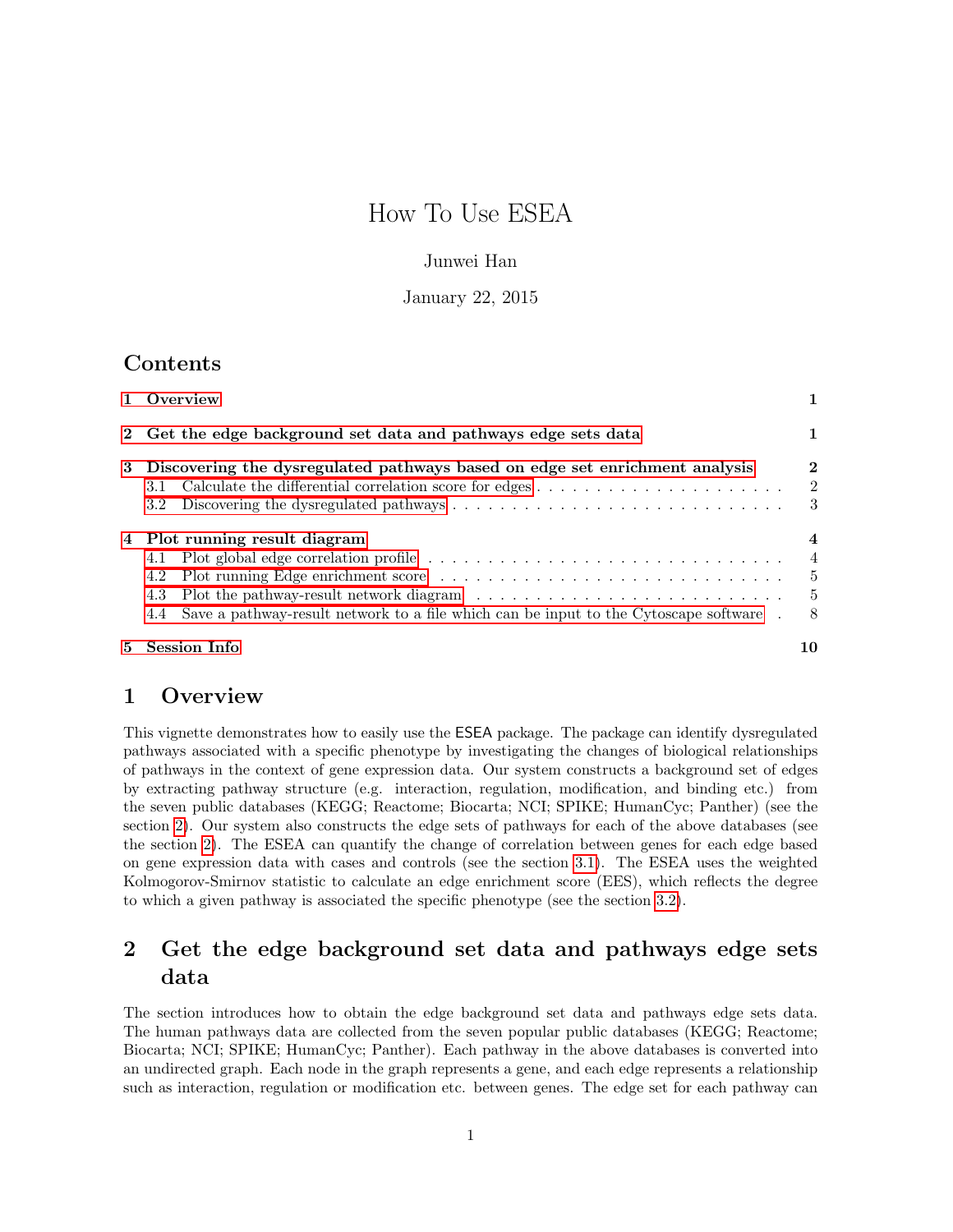# How To Use ESEA

### Junwei Han

### January 22, 2015

### Contents

| 1 Overview                                                                                                                                          |                                 |
|-----------------------------------------------------------------------------------------------------------------------------------------------------|---------------------------------|
| 2 Get the edge background set data and pathways edge sets data                                                                                      |                                 |
| 3 Discovering the dysregulated pathways based on edge set enrichment analysis<br>3.1<br>3.2                                                         | $\bf{2}$<br><sup>2</sup><br>- 3 |
| 4 Plot running result diagram<br>4.1<br>4.2<br>4.3<br>Save a pathway-result network to a file which can be input to the Cytoscape software .<br>4.4 | 4<br>4<br>- 5<br>- 5<br>- 8     |
| 5 Session Info                                                                                                                                      | 10                              |

### <span id="page-0-0"></span>1 Overview

This vignette demonstrates how to easily use the ESEA package. The package can identify dysregulated pathways associated with a specific phenotype by investigating the changes of biological relationships of pathways in the context of gene expression data. Our system constructs a background set of edges by extracting pathway structure (e.g. interaction, regulation, modification, and binding etc.) from the seven public databases (KEGG; Reactome; Biocarta; NCI; SPIKE; HumanCyc; Panther) (see the section [2\)](#page-0-1). Our system also constructs the edge sets of pathways for each of the above databases (see the section [2\)](#page-0-1). The ESEA can quantify the change of correlation between genes for each edge based on gene expression data with cases and controls (see the section [3.1\)](#page-1-1). The ESEA uses the weighted Kolmogorov-Smirnov statistic to calculate an edge enrichment score (EES), which reflects the degree to which a given pathway is associated the specific phenotype (see the section [3.2\)](#page-2-0).

## <span id="page-0-1"></span>2 Get the edge background set data and pathways edge sets data

The section introduces how to obtain the edge background set data and pathways edge sets data. The human pathways data are collected from the seven popular public databases (KEGG; Reactome; Biocarta; NCI; SPIKE; HumanCyc; Panther). Each pathway in the above databases is converted into an undirected graph. Each node in the graph represents a gene, and each edge represents a relationship such as interaction, regulation or modification etc. between genes. The edge set for each pathway can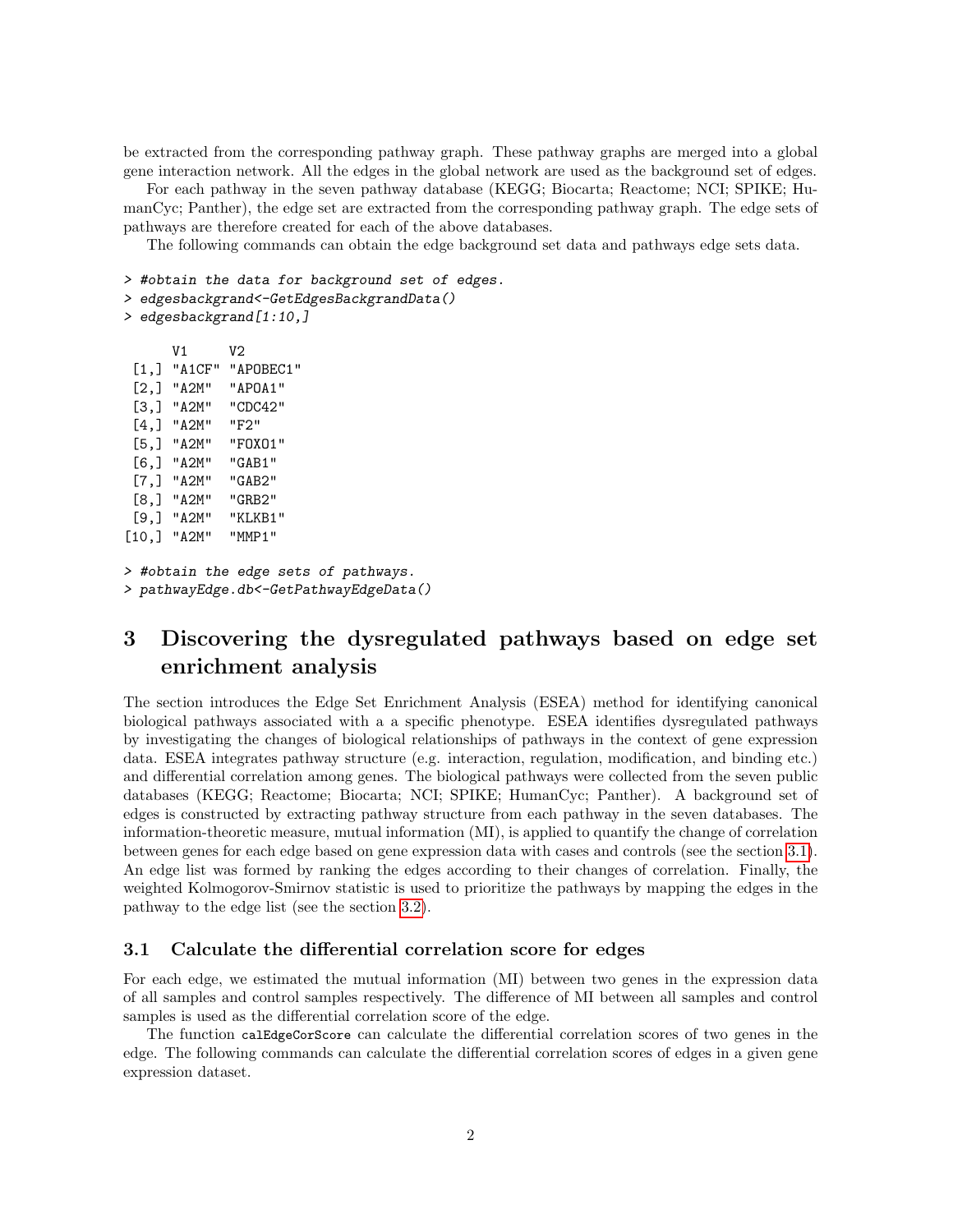be extracted from the corresponding pathway graph. These pathway graphs are merged into a global gene interaction network. All the edges in the global network are used as the background set of edges.

For each pathway in the seven pathway database (KEGG; Biocarta; Reactome; NCI; SPIKE; HumanCyc; Panther), the edge set are extracted from the corresponding pathway graph. The edge sets of pathways are therefore created for each of the above databases.

The following commands can obtain the edge background set data and pathways edge sets data.

```
> #obtain the data for background set of edges.
```

```
> edgesbackgrand<-GetEdgesBackgrandData()
```

```
> edgesbackgrand[1:10,]
```

```
V1 V2
 [1,] "A1CF" "APOBEC1"
 [2,] "A2M" "APOA1"
 [3,] "A2M" "CDC42"
 [4,] "A2M" "F2"
 [5,] "A2M" "FOXO1"
 [6,] "A2M" "GAB1"
 [7,] "A2M" "GAB2"
 [8,] "A2M" "GRB2"
 [9,] "A2M" "KLKB1"
[10,] "A2M" "MMP1"
> #obtain the edge sets of pathways.
```

```
> pathwayEdge.db<-GetPathwayEdgeData()
```
## <span id="page-1-0"></span>3 Discovering the dysregulated pathways based on edge set enrichment analysis

The section introduces the Edge Set Enrichment Analysis (ESEA) method for identifying canonical biological pathways associated with a a specific phenotype. ESEA identifies dysregulated pathways by investigating the changes of biological relationships of pathways in the context of gene expression data. ESEA integrates pathway structure (e.g. interaction, regulation, modification, and binding etc.) and differential correlation among genes. The biological pathways were collected from the seven public databases (KEGG; Reactome; Biocarta; NCI; SPIKE; HumanCyc; Panther). A background set of edges is constructed by extracting pathway structure from each pathway in the seven databases. The information-theoretic measure, mutual information (MI), is applied to quantify the change of correlation between genes for each edge based on gene expression data with cases and controls (see the section [3.1\)](#page-1-1). An edge list was formed by ranking the edges according to their changes of correlation. Finally, the weighted Kolmogorov-Smirnov statistic is used to prioritize the pathways by mapping the edges in the pathway to the edge list (see the section [3.2\)](#page-2-0).

#### <span id="page-1-1"></span>3.1 Calculate the differential correlation score for edges

For each edge, we estimated the mutual information (MI) between two genes in the expression data of all samples and control samples respectively. The difference of MI between all samples and control samples is used as the differential correlation score of the edge.

The function calEdgeCorScore can calculate the differential correlation scores of two genes in the edge. The following commands can calculate the differential correlation scores of edges in a given gene expression dataset.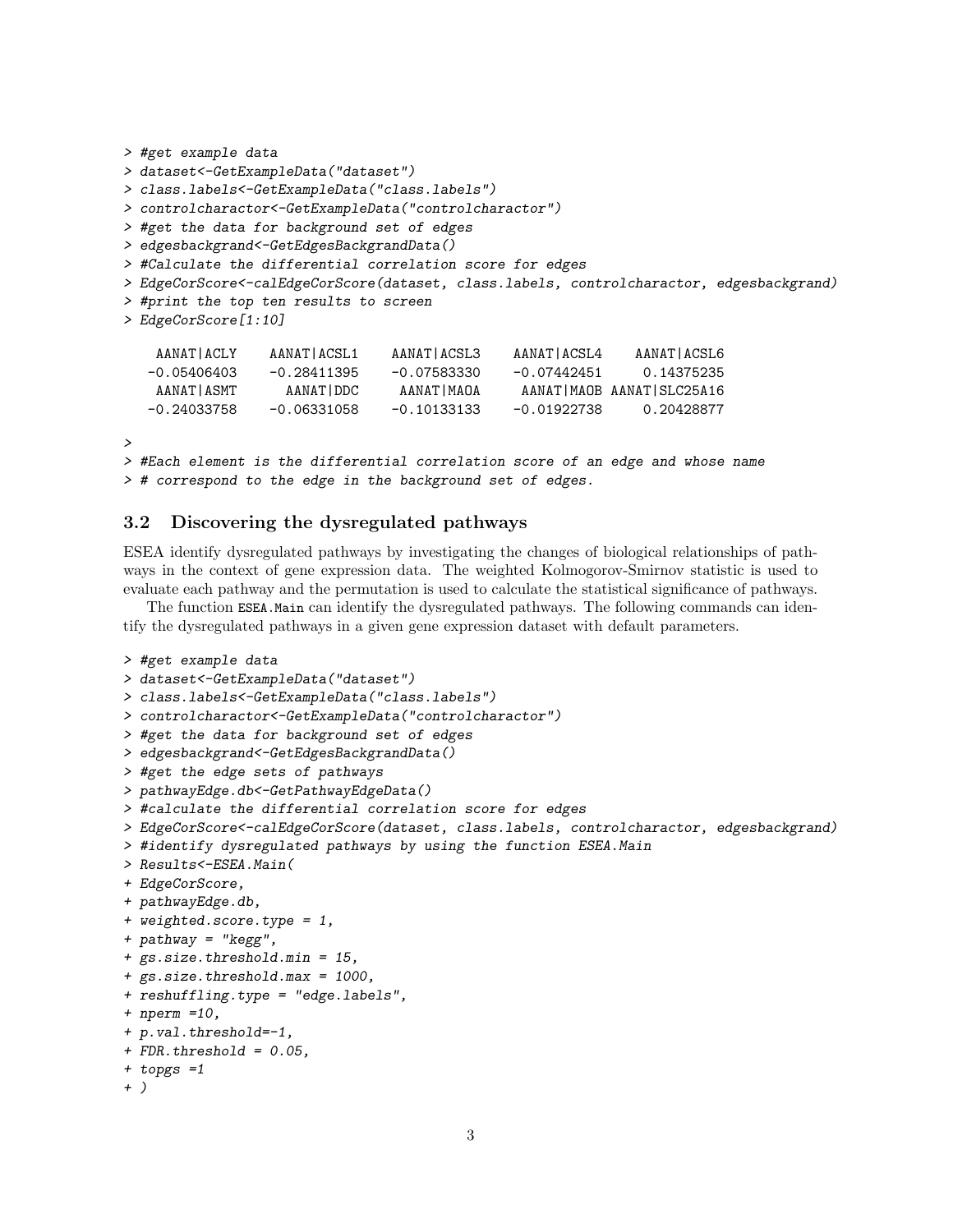```
> #get example data
> dataset<-GetExampleData("dataset")
> class.labels<-GetExampleData("class.labels")
> controlcharactor<-GetExampleData("controlcharactor")
> #get the data for background set of edges
> edgesbackgrand<-GetEdgesBackgrandData()
> #Calculate the differential correlation score for edges
> EdgeCorScore<-calEdgeCorScore(dataset, class.labels, controlcharactor, edgesbackgrand)
> #print the top ten results to screen
> EdgeCorScore[1:10]
   AANAT|ACLY AANAT|ACSL1 AANAT|ACSL3 AANAT|ACSL4 AANAT|ACSL6
  -0.05406403 -0.28411395 -0.07583330 -0.07442451 0.14375235
   AANAT|ASMT AANAT|DDC AANAT|MAOA AANAT|MAOB AANAT|SLC25A16
  -0.24033758 -0.06331058 -0.10133133 -0.01922738 0.20428877
>
> #Each element is the differential correlation score of an edge and whose name
```
> # correspond to the edge in the background set of edges.

### <span id="page-2-0"></span>3.2 Discovering the dysregulated pathways

ESEA identify dysregulated pathways by investigating the changes of biological relationships of pathways in the context of gene expression data. The weighted Kolmogorov-Smirnov statistic is used to evaluate each pathway and the permutation is used to calculate the statistical significance of pathways.

The function ESEA.Main can identify the dysregulated pathways. The following commands can identify the dysregulated pathways in a given gene expression dataset with default parameters.

```
> #get example data
> dataset<-GetExampleData("dataset")
> class.labels<-GetExampleData("class.labels")
> controlcharactor<-GetExampleData("controlcharactor")
> #get the data for background set of edges
> edgesbackgrand<-GetEdgesBackgrandData()
> #get the edge sets of pathways
> pathwayEdge.db<-GetPathwayEdgeData()
> #calculate the differential correlation score for edges
> EdgeCorScore<-calEdgeCorScore(dataset, class.labels, controlcharactor, edgesbackgrand)
> #identify dysregulated pathways by using the function ESEA.Main
> Results<-ESEA.Main(
+ EdgeCorScore,
+ pathwayEdge.db,
+ weighted.score.type = 1,
+ pathway = "kegg",
+ gs.size.threshold.min = 15,
+ gs.size.threshold.max = 1000,
+ reshuffling.type = "edge.labels",
+ nperm =10,
+ p.val.threshold=-1,
+ FDR.threshold = 0.05,
+ topgs =1
+ )
```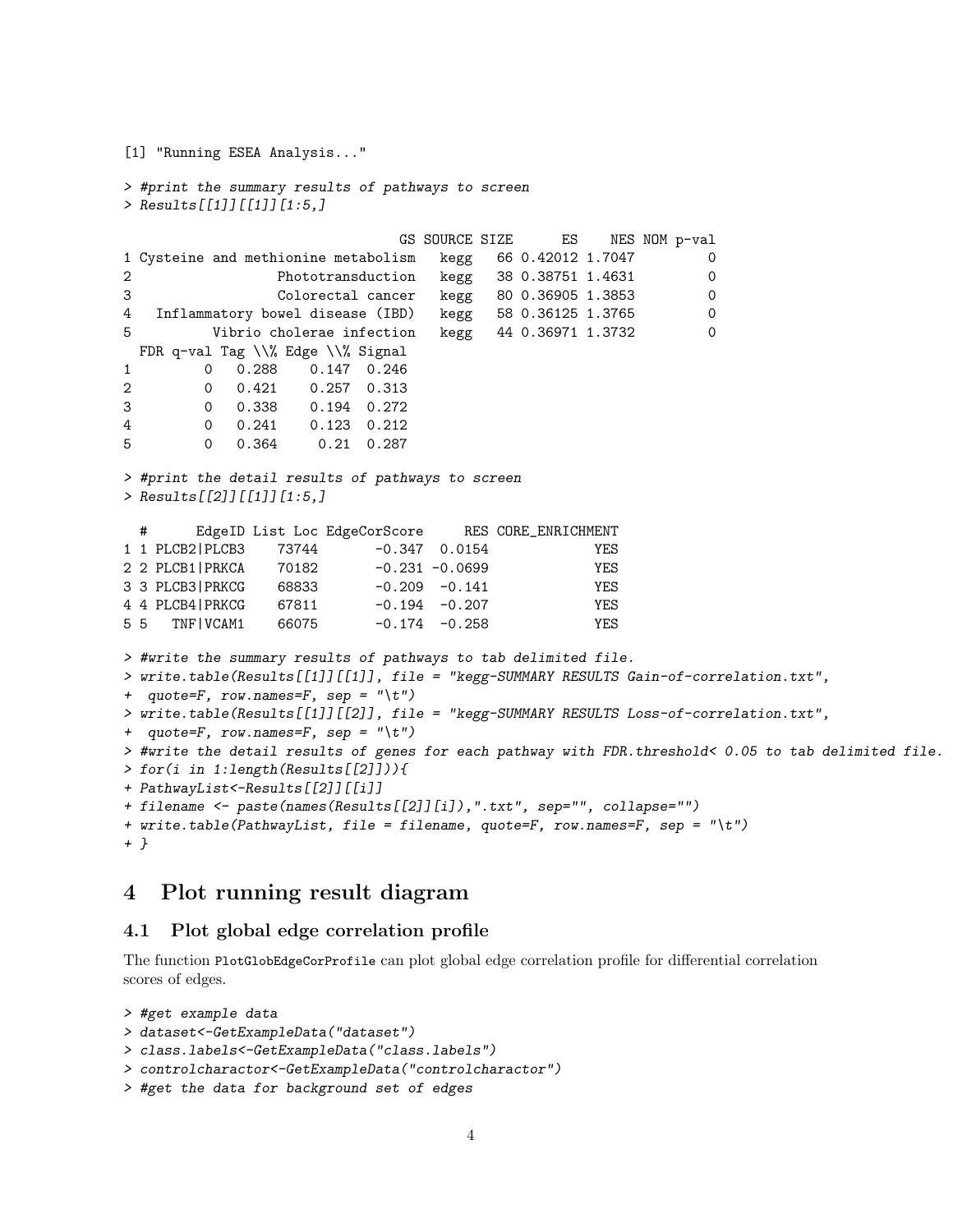```
[1] "Running ESEA Analysis..."
> #print the summary results of pathways to screen
> Results[[1]][[1]][1:5,]
                            GS SOURCE SIZE ES NES NOM p-val
1 Cysteine and methionine metabolism kegg 66 0.42012 1.7047 0
2 Phototransduction kegg 38 0.38751 1.4631 0
3 Colorectal cancer kegg 80 0.36905 1.3853 0
4 Inflammatory bowel disease (IBD) kegg 58 0.36125 1.3765 0
5 Vibrio cholerae infection kegg 44 0.36971 1.3732 0
 FDR q-val Tag \\% Edge \\% Signal
1 0 0.288 0.147 0.246
2 0 0.421 0.257 0.313
3 0 0.338 0.194 0.272
4 0 0.241 0.123 0.212
5 0 0.364 0.21 0.287
> #print the detail results of pathways to screen
> Results[[2]][[1]][1:5,]
 # EdgeID List Loc EdgeCorScore RES CORE_ENRICHMENT
1 1 PLCB2|PLCB3 73744 -0.347 0.0154 YES
2 2 PLCB1|PRKCA 70182 -0.231 -0.0699 YES
3 3 PLCB3|PRKCG 68833 -0.209 -0.141 YES
4 4 PLCB4|PRKCG 67811 -0.194 -0.207 YES
5 5 TNF|VCAM1 66075 -0.174 -0.258 YES
> #write the summary results of pathways to tab delimited file.
> write.table(Results[[1]][[1]], file = "kegg-SUMMARY RESULTS Gain-of-correlation.txt",
+ quote=F, row.names=F, sep = "\t t")
> write.table(Results[[1]][[2]], file = "kegg-SUMMARY RESULTS Loss-of-correlation.txt",
+ quote=F, row.names=F, sep = "\t t")
> #write the detail results of genes for each pathway with FDR.threshold< 0.05 to tab delimited file.
> for(i in 1:length(Results[[2]])){
+ PathwayList<-Results[[2]][[i]]
+ filename <- paste(names(Results[[2]][i]),".txt", sep="", collapse="")
+ write.table(PathwayList, file = filename, quote=F, row.names=F, sep = "\t")
+ }
```
### <span id="page-3-0"></span>4 Plot running result diagram

### <span id="page-3-1"></span>4.1 Plot global edge correlation profile

The function PlotGlobEdgeCorProfile can plot global edge correlation profile for differential correlation scores of edges.

```
> #get example data
> dataset<-GetExampleData("dataset")
> class.labels<-GetExampleData("class.labels")
> controlcharactor<-GetExampleData("controlcharactor")
> #get the data for background set of edges
```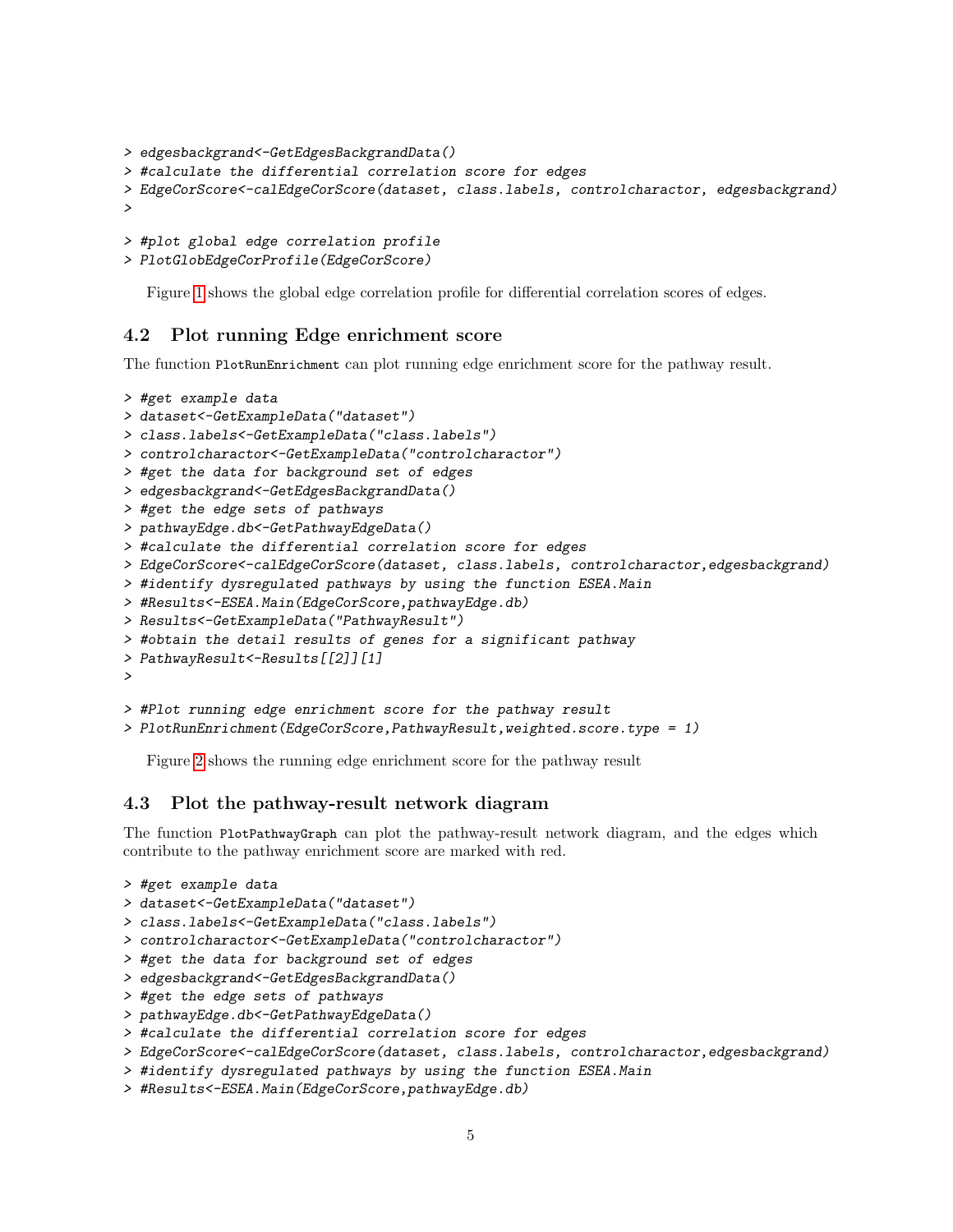```
> edgesbackgrand<-GetEdgesBackgrandData()
> #calculate the differential correlation score for edges
> EdgeCorScore<-calEdgeCorScore(dataset, class.labels, controlcharactor, edgesbackgrand)
>
```

```
> #plot global edge correlation profile
```

```
> PlotGlobEdgeCorProfile(EdgeCorScore)
```
Figure [1](#page-5-0) shows the global edge correlation profile for differential correlation scores of edges.

### <span id="page-4-0"></span>4.2 Plot running Edge enrichment score

The function PlotRunEnrichment can plot running edge enrichment score for the pathway result.

```
> #get example data
> dataset<-GetExampleData("dataset")
> class.labels<-GetExampleData("class.labels")
> controlcharactor<-GetExampleData("controlcharactor")
> #get the data for background set of edges
> edgesbackgrand<-GetEdgesBackgrandData()
> #get the edge sets of pathways
> pathwayEdge.db<-GetPathwayEdgeData()
> #calculate the differential correlation score for edges
> EdgeCorScore<-calEdgeCorScore(dataset, class.labels, controlcharactor,edgesbackgrand)
> #identify dysregulated pathways by using the function ESEA.Main
> #Results<-ESEA.Main(EdgeCorScore,pathwayEdge.db)
> Results<-GetExampleData("PathwayResult")
> #obtain the detail results of genes for a significant pathway
> PathwayResult<-Results[[2]][1]
>
> #Plot running edge enrichment score for the pathway result
```

```
> PlotRunEnrichment(EdgeCorScore,PathwayResult,weighted.score.type = 1)
```
Figure [2](#page-6-0) shows the running edge enrichment score for the pathway result

#### <span id="page-4-1"></span>4.3 Plot the pathway-result network diagram

The function PlotPathwayGraph can plot the pathway-result network diagram, and the edges which contribute to the pathway enrichment score are marked with red.

```
> #get example data
> dataset<-GetExampleData("dataset")
```

```
> class.labels<-GetExampleData("class.labels")
```

```
> controlcharactor<-GetExampleData("controlcharactor")
```
- > #get the data for background set of edges
- > edgesbackgrand<-GetEdgesBackgrandData()
- > #get the edge sets of pathways
- > pathwayEdge.db<-GetPathwayEdgeData()
- > #calculate the differential correlation score for edges
- > EdgeCorScore<-calEdgeCorScore(dataset, class.labels, controlcharactor,edgesbackgrand)
- > #identify dysregulated pathways by using the function ESEA.Main
- > #Results<-ESEA.Main(EdgeCorScore,pathwayEdge.db)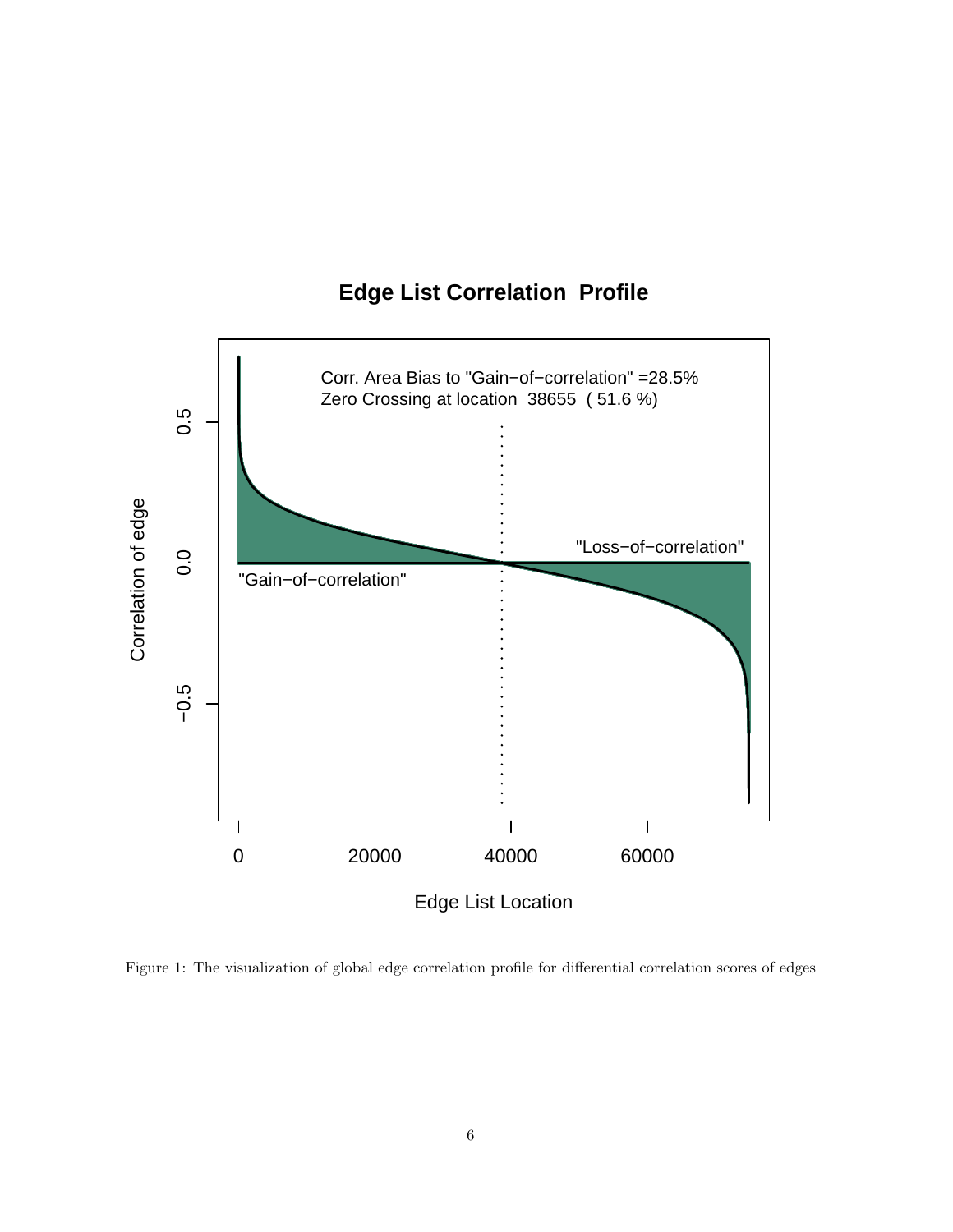

# **Edge List Correlation Profile**

<span id="page-5-0"></span>Figure 1: The visualization of global edge correlation profile for differential correlation scores of edges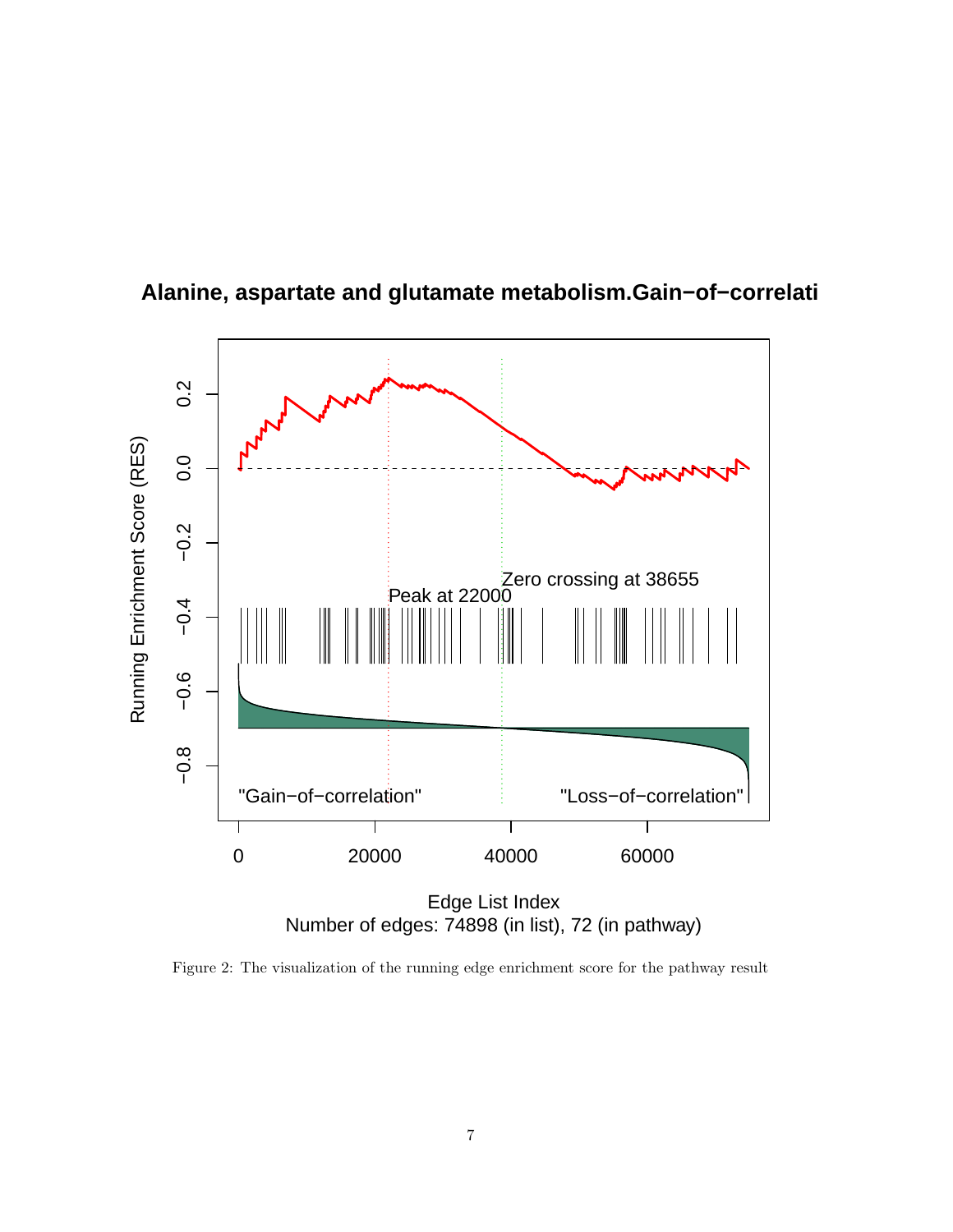

**Alanine, aspartate and glutamate metabolism.Gain−of−correlation**

<span id="page-6-0"></span>Figure 2: The visualization of the running edge enrichment score for the pathway result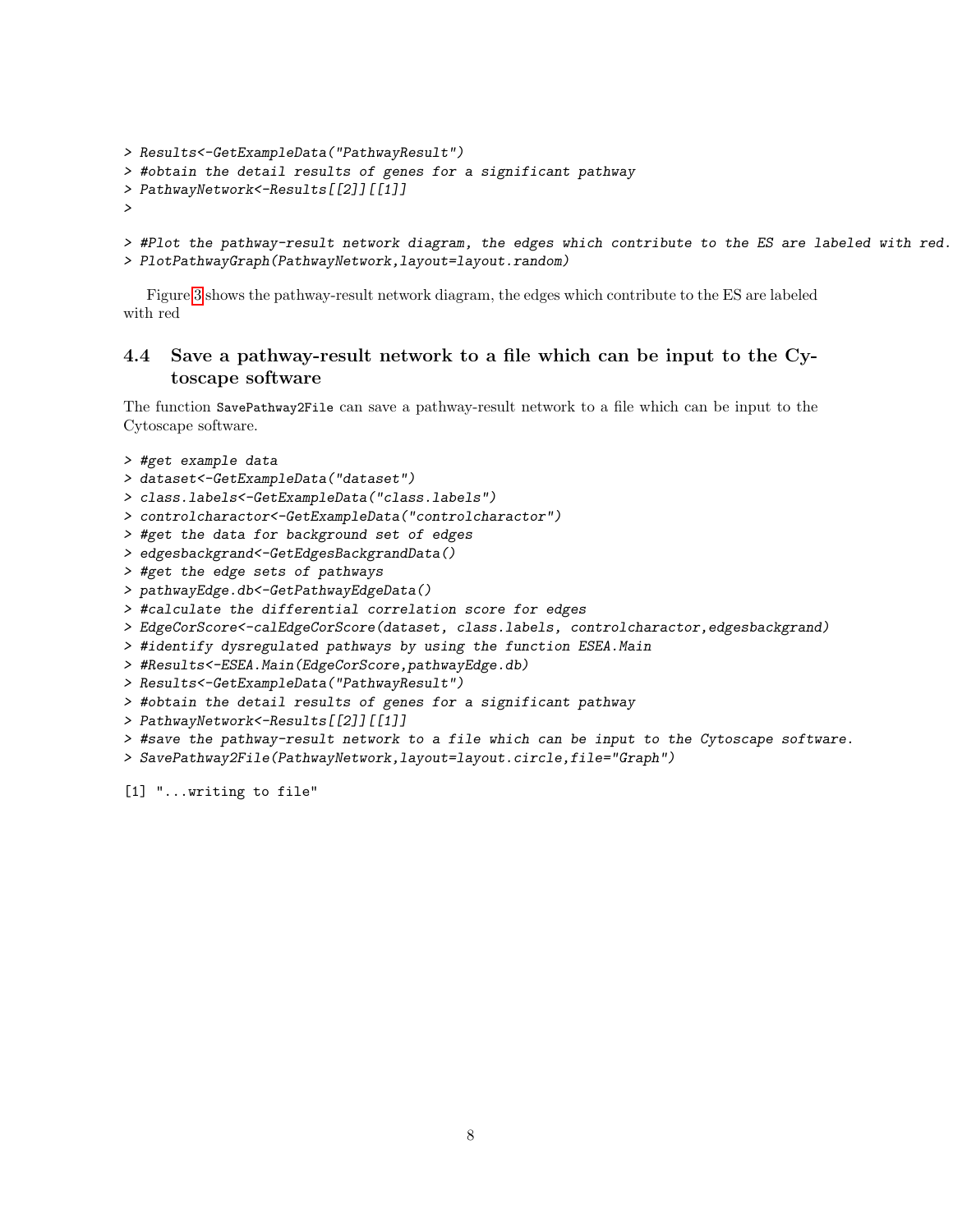```
> Results<-GetExampleData("PathwayResult")
```

```
> #obtain the detail results of genes for a significant pathway
```

```
> PathwayNetwork<-Results[[2]][[1]]
```

```
>
```

```
> #Plot the pathway-result network diagram, the edges which contribute to the ES are labeled with red.
> PlotPathwayGraph(PathwayNetwork,layout=layout.random)
```
Figure [3](#page-8-0) shows the pathway-result network diagram, the edges which contribute to the ES are labeled with red

### <span id="page-7-0"></span>4.4 Save a pathway-result network to a file which can be input to the Cytoscape software

The function SavePathway2File can save a pathway-result network to a file which can be input to the Cytoscape software.

```
> #get example data
```
- > dataset<-GetExampleData("dataset")
- > class.labels<-GetExampleData("class.labels")
- > controlcharactor<-GetExampleData("controlcharactor")
- > #get the data for background set of edges
- > edgesbackgrand<-GetEdgesBackgrandData()
- > #get the edge sets of pathways
- > pathwayEdge.db<-GetPathwayEdgeData()
- > #calculate the differential correlation score for edges
- > EdgeCorScore<-calEdgeCorScore(dataset, class.labels, controlcharactor,edgesbackgrand)
- > #identify dysregulated pathways by using the function ESEA.Main
- > #Results<-ESEA.Main(EdgeCorScore,pathwayEdge.db)
- > Results<-GetExampleData("PathwayResult")
- > #obtain the detail results of genes for a significant pathway
- > PathwayNetwork<-Results[[2]][[1]]
- > #save the pathway-result network to a file which can be input to the Cytoscape software.
- > SavePathway2File(PathwayNetwork,layout=layout.circle,file="Graph")

[1] "...writing to file"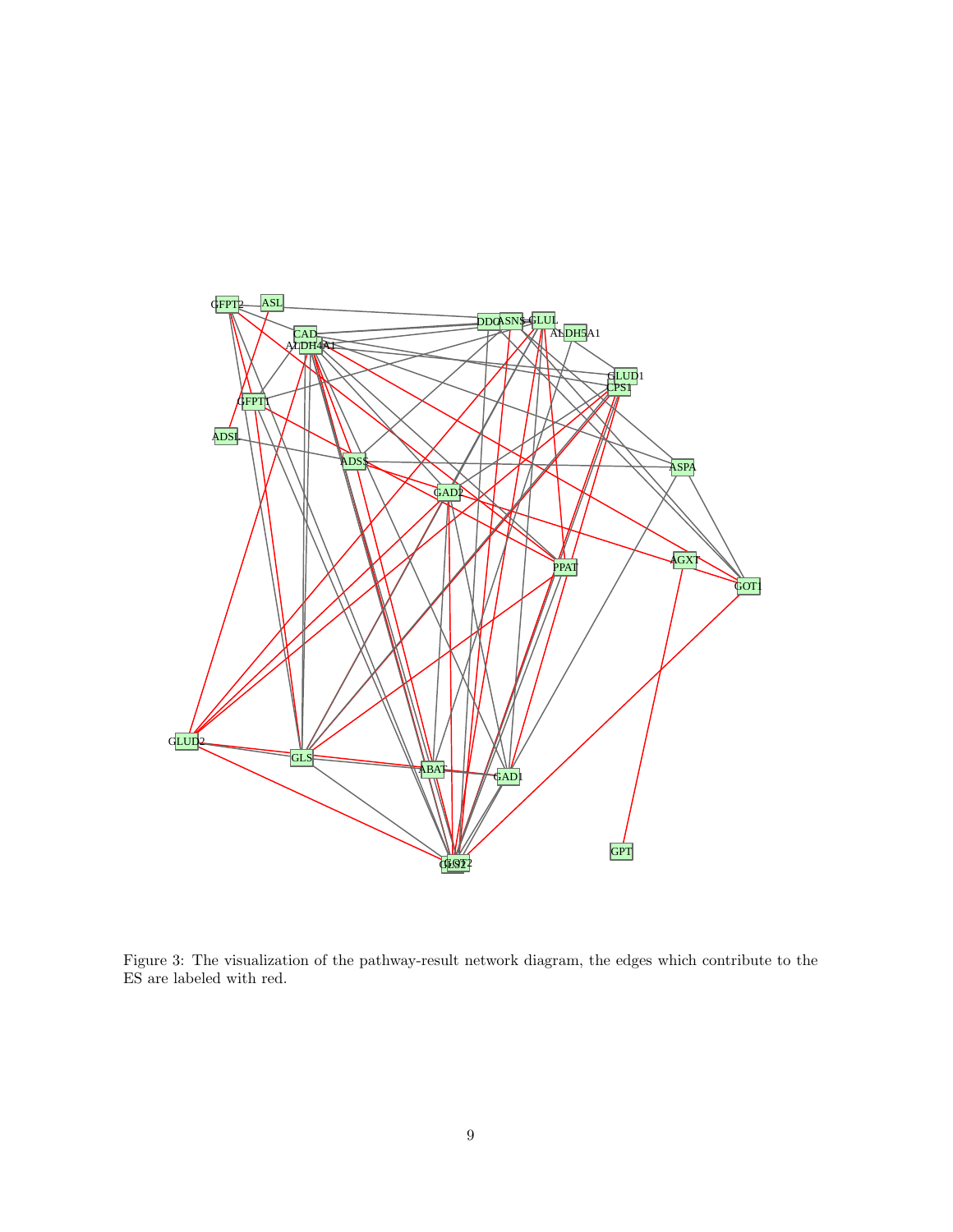

<span id="page-8-0"></span>Figure 3: The visualization of the pathway-result network diagram, the edges which contribute to the ES are labeled with red.